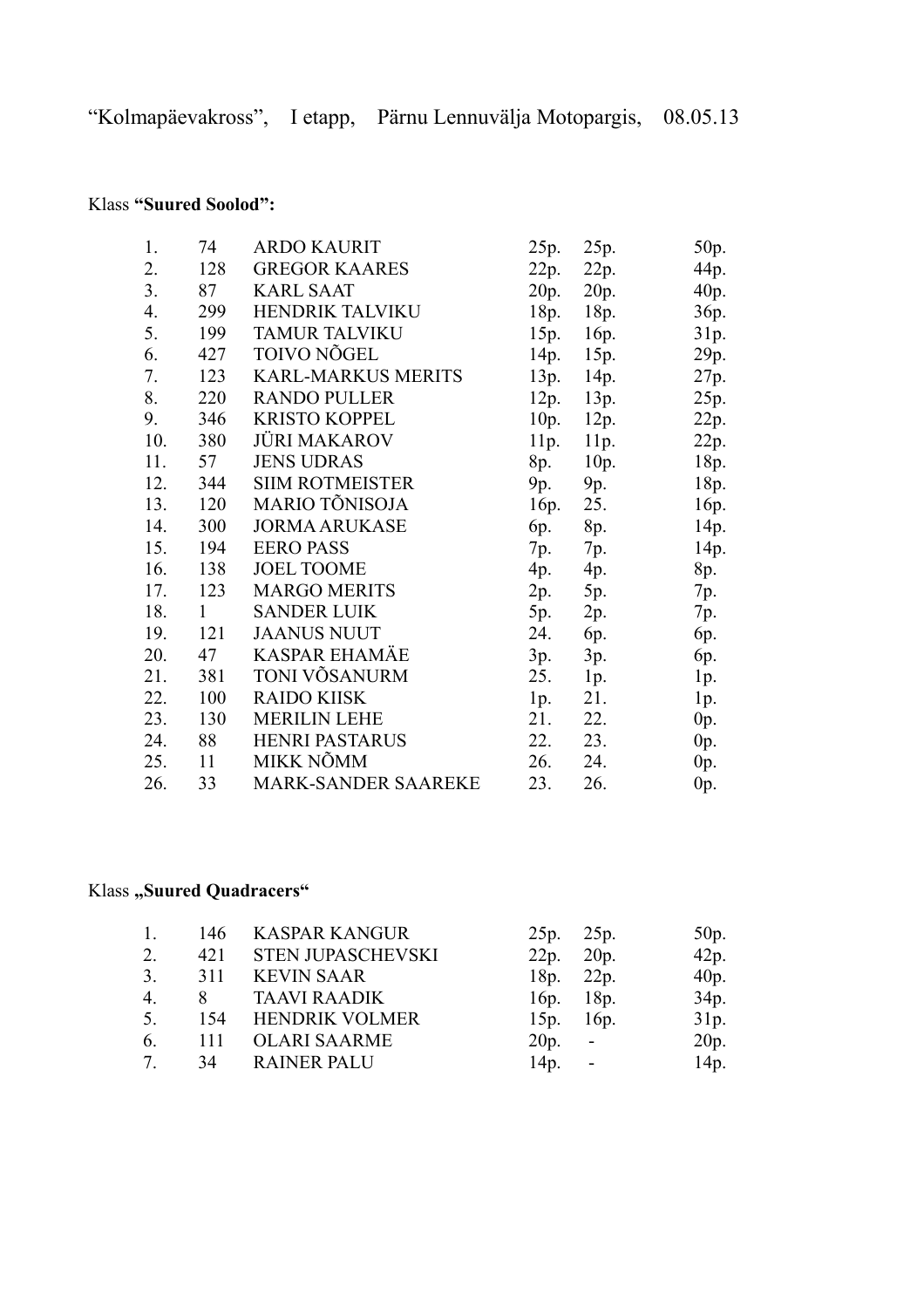## Klass **"Suured Soolod":**

| 1.  | 74           | <b>ARDO KAURIT</b>         | 25p. | 25p. | 50p.   |
|-----|--------------|----------------------------|------|------|--------|
| 2.  | 128          | <b>GREGOR KAARES</b>       | 22p. | 22p. | 44p.   |
| 3.  | 87           | <b>KARL SAAT</b>           | 20p. | 20p. | 40p.   |
| 4.  | 299          | HENDRIK TALVIKU            | 18p. | 18p. | 36p.   |
| 5.  | 199          | <b>TAMUR TALVIKU</b>       | 15p. | 16p. | 31p.   |
| 6.  | 427          | TOIVO NÕGEL                | 14p. | 15p. | 29p.   |
| 7.  | 123          | <b>KARL-MARKUS MERITS</b>  | 13p. | 14p. | 27p.   |
| 8.  | 220          | <b>RANDO PULLER</b>        | 12p. | 13p. | 25p.   |
| 9.  | 346          | <b>KRISTO KOPPEL</b>       | 10p. | 12p. | 22p.   |
| 10. | 380          | <b>JÜRI MAKAROV</b>        | 11p. | 11p. | 22p.   |
| 11. | 57           | <b>JENS UDRAS</b>          | 8p.  | 10p. | 18p.   |
| 12. | 344          | <b>SIIM ROTMEISTER</b>     | 9p.  | 9p.  | 18p.   |
| 13. | 120          | MARIO TÕNISOJA             | 16p. | 25.  | 16p.   |
| 14. | 300          | <b>JORMA ARUKASE</b>       | 6p.  | 8p.  | 14p.   |
| 15. | 194          | <b>EERO PASS</b>           | 7p.  | 7p.  | 14p.   |
| 16. | 138          | <b>JOEL TOOME</b>          | 4p.  | 4p.  | 8p.    |
| 17. | 123          | <b>MARGO MERITS</b>        | 2p.  | 5p.  | 7p.    |
| 18. | $\mathbf{1}$ | <b>SANDER LUIK</b>         | 5p.  | 2p.  | 7p.    |
| 19. | 121          | <b>JAANUS NUUT</b>         | 24.  | 6p.  | 6p.    |
| 20. | 47           | <b>KASPAR EHAMÄE</b>       | 3p.  | 3p.  | 6p.    |
| 21. | 381          | TONI VÕSANURM              | 25.  | 1p.  | 1p.    |
| 22. | 100          | <b>RAIDO KIISK</b>         | 1p.  | 21.  | 1p.    |
| 23. | 130          | <b>MERILIN LEHE</b>        | 21.  | 22.  | $0p$ . |
| 24. | 88           | <b>HENRI PASTARUS</b>      | 22.  | 23.  | $0p$ . |
| 25. | 11           | MIKK NÕMM                  | 26.  | 24.  | $0p$ . |
| 26. | 33           | <b>MARK-SANDER SAAREKE</b> | 23.  | 26.  | 0p.    |

## **Klass** "Suured Quadracers"

| 1.              |       | 146 KASPAR KANGUR     | 25p. 25p. |             | 50p. |
|-----------------|-------|-----------------------|-----------|-------------|------|
| 2.              |       | 421 STEN JUPASCHEVSKI | 22p. 20p. |             | 42p. |
| 3.              |       | 311 KEVIN SAAR        | 18p.      | 22p.        | 40p. |
| 4.              |       | 8 TAAVI RAADIK        |           | $16p.$ 18p. | 34p. |
| 5.              | 154   | <b>HENDRIK VOLMER</b> |           | 15p. 16p.   | 31p. |
| 6.              | - 111 | <b>OLARI SAARME</b>   | $20p. -$  |             | 20p. |
| $7\overline{ }$ | 34    | <b>RAINER PALU</b>    | $14p. -$  |             | 14p. |